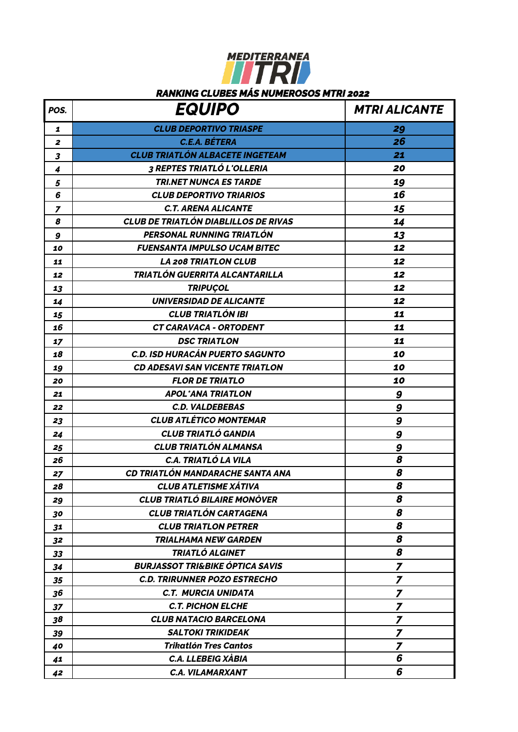## MEDITERRANEA

## *RANKING CLUBES MÁS NUMEROSOS MTRI 2022*

| POS.                     | <b>EQUIPO</b>                               | <b>MTRI ALICANTE</b>    |
|--------------------------|---------------------------------------------|-------------------------|
| 1                        | <b>CLUB DEPORTIVO TRIASPE</b>               | 29                      |
| $\boldsymbol{z}$         | <b>C.E.A. BÉTERA</b>                        | 26                      |
| 3                        | <b>CLUB TRIATLÓN ALBACETE INGETEAM</b>      | 21                      |
| 4                        | 3 REPTES TRIATLÓ L'OLLERIA                  | 20                      |
| 5                        | <b>TRI.NET NUNCA ES TARDE</b>               | 19                      |
| 6                        | <b>CLUB DEPORTIVO TRIARIOS</b>              | 16                      |
| $\overline{\phantom{a}}$ | <b>C.T. ARENA ALICANTE</b>                  | 15                      |
| 8                        | <b>CLUB DE TRIATLÓN DIABLILLOS DE RIVAS</b> | 14                      |
| 9                        | PERSONAL RUNNING TRIATLÓN                   | 13                      |
| 10                       | <b>FUENSANTA IMPULSO UCAM BITEC</b>         | 12                      |
| 11                       | <b>LA 208 TRIATLON CLUB</b>                 | 12                      |
| 12                       | TRIATLÓN GUERRITA ALCANTARILLA              | 12                      |
| 13                       | <b>TRIPUÇOL</b>                             | 12                      |
| 14                       | <b>UNIVERSIDAD DE ALICANTE</b>              | 12                      |
| 15                       | <b>CLUB TRIATLÓN IBI</b>                    | 11                      |
| 16                       | <b>CT CARAVACA - ORTODENT</b>               | 11                      |
| 17                       | <b>DSC TRIATLON</b>                         | 11                      |
| 18                       | <b>C.D. ISD HURACÁN PUERTO SAGUNTO</b>      | 10                      |
| 19                       | <b>CD ADESAVI SAN VICENTE TRIATLON</b>      | 10                      |
| 20                       | <b>FLOR DE TRIATLO</b>                      | 10                      |
| 21                       | <b>APOL'ANA TRIATLON</b>                    | 9                       |
| 22                       | <b>C.D. VALDEBEBAS</b>                      | 9                       |
| 23                       | <b>CLUB ATLÉTICO MONTEMAR</b>               | 9                       |
| 24                       | <b>CLUB TRIATLÓ GANDIA</b>                  | 9                       |
| 25                       | <b>CLUB TRIATLÓN ALMANSA</b>                | 9                       |
| 26                       | C.A. TRIATLÓ LA VILA                        | 8                       |
| 27                       | CD TRIATLÓN MANDARACHE SANTA ANA            | 8                       |
| 28                       | <b>CLUB ATLETISME XATIVA</b>                | 8                       |
| 29                       | <b>CLUB TRIATLÓ BILAIRE MONÒVER</b>         | 8                       |
| 30                       | <b>CLUB TRIATLÓN CARTAGENA</b>              | 8                       |
| 31                       | <b>CLUB TRIATLON PETRER</b>                 | 8                       |
| 32                       | <b>TRIALHAMA NEW GARDEN</b>                 | 8                       |
| 33                       | TRIATLÓ ALGINET                             | 8                       |
| 34                       | <b>BURJASSOT TRI&amp;BIKE ÓPTICA SAVIS</b>  | $\overline{z}$          |
| 35                       | <b>C.D. TRIRUNNER POZO ESTRECHO</b>         | $\overline{z}$          |
| 36                       | <b>C.T. MURCIA UNIDATA</b>                  | $\overline{z}$          |
| 37                       | <b>C.T. PICHON ELCHE</b>                    | $\overline{\mathbf{z}}$ |
| 38                       | <b>CLUB NATACIO BARCELONA</b>               | $\overline{\mathbf{z}}$ |
| 39                       | <b>SALTOKI TRIKIDEAK</b>                    | $\overline{\mathbf{z}}$ |
| 40                       | <b>Trikatlón Tres Cantos</b>                | $\overline{z}$          |
| 41                       | C.A. LLEBEIG XABIA                          | 6                       |
| 42                       | <b>C.A. VILAMARXANT</b>                     | 6                       |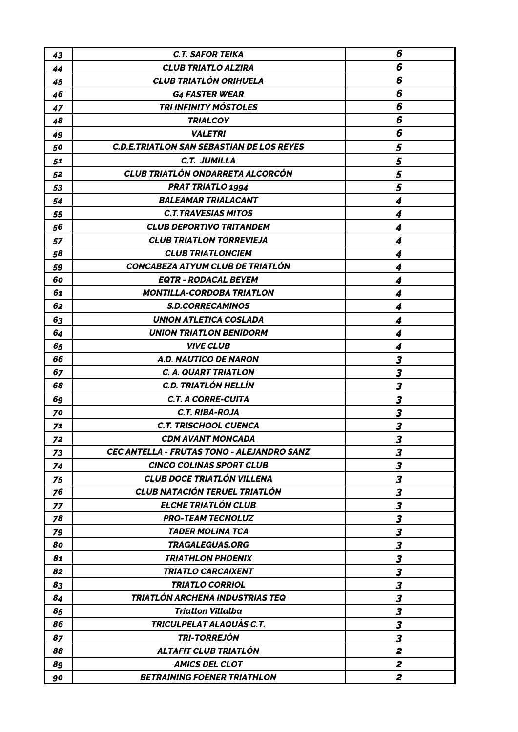| 43 | <b>C.T. SAFOR TEIKA</b>                           | 6                       |
|----|---------------------------------------------------|-------------------------|
| 44 | <b>CLUB TRIATLO ALZIRA</b>                        | 6                       |
| 45 | <b>CLUB TRIATLÓN ORIHUELA</b>                     | 6                       |
| 46 | <b>G4 FASTER WEAR</b>                             | 6                       |
| 47 | TRI INFINITY MÓSTOLES                             | 6                       |
| 48 | <b>TRIALCOY</b>                                   | 6                       |
| 49 | <b>VALETRI</b>                                    | 6                       |
| 50 | <b>C.D.E. TRIATLON SAN SEBASTIAN DE LOS REYES</b> | 5                       |
| 51 | C.T. JUMILLA                                      | 5                       |
| 52 | <b>CLUB TRIATLÓN ONDARRETA ALCORCÓN</b>           | 5                       |
| 53 | <b>PRAT TRIATLO 1994</b>                          | 5                       |
| 54 | <b>BALEAMAR TRIALACANT</b>                        | 4                       |
| 55 | <b>C.T.TRAVESIAS MITOS</b>                        | 4                       |
| 56 | <b>CLUB DEPORTIVO TRITANDEM</b>                   | $\boldsymbol{4}$        |
| 57 | <b>CLUB TRIATLON TORREVIEJA</b>                   | 4                       |
| 58 | <b>CLUB TRIATLONCIEM</b>                          | 4                       |
| 59 | CONCABEZA ATYUM CLUB DE TRIATLÓN                  | 4                       |
| 60 | <b>EQTR - RODACAL BEYEM</b>                       | $\boldsymbol{4}$        |
| 61 | <b>MONTILLA-CORDOBA TRIATLON</b>                  | 4                       |
| 62 | <b>S.D.CORRECAMINOS</b>                           | $\boldsymbol{4}$        |
| 63 | <b>UNION ATLETICA COSLADA</b>                     | 4                       |
| 64 | <b>UNION TRIATLON BENIDORM</b>                    | 4                       |
| 65 | <b>VIVE CLUB</b>                                  | 4                       |
| 66 | <b>A.D. NAUTICO DE NARON</b>                      | 3                       |
| 67 | <b>C. A. QUART TRIATLON</b>                       | $\boldsymbol{3}$        |
| 68 | <b>C.D. TRIATLÓN HELLÍN</b>                       | 3                       |
| 69 | <b>C.T. A CORRE-CUITA</b>                         | $\overline{\mathbf{3}}$ |
| 70 | <b>C.T. RIBA-ROJA</b>                             | $\boldsymbol{3}$        |
| 71 | <b>C.T. TRISCHOOL CUENCA</b>                      | 3                       |
| 72 | <b>CDM AVANT MONCADA</b>                          | $\boldsymbol{3}$        |
| 73 | <b>CEC ANTELLA - FRUTAS TONO - ALEJANDRO SANZ</b> | $\overline{\mathbf{3}}$ |
| 74 | <b>CINCO COLINAS SPORT CLUB</b>                   | $\overline{\mathbf{3}}$ |
| 75 | <b>CLUB DOCE TRIATLÓN VILLENA</b>                 | $\overline{\mathbf{3}}$ |
| 76 | <b>CLUB NATACIÓN TERUEL TRIATLÓN</b>              | $\boldsymbol{3}$        |
| 77 | ELCHE TRIATLÓN CLUB                               | $\overline{\mathbf{3}}$ |
| 78 | <b>PRO-TEAM TECNOLUZ</b>                          | 3                       |
| 79 | <b>TADER MOLINA TCA</b>                           | $\overline{\mathbf{3}}$ |
| 80 | <b>TRAGALEGUAS.ORG</b>                            | $\boldsymbol{3}$        |
| 81 | <b>TRIATHLON PHOENIX</b>                          | $\boldsymbol{3}$        |
| 82 | <b>TRIATLO CARCAIXENT</b>                         | $\overline{\mathbf{3}}$ |
| 83 | <b>TRIATLO CORRIOL</b>                            | $\overline{\mathbf{3}}$ |
| 84 | TRIATLÓN ARCHENA INDUSTRIAS TEQ                   | $\overline{\mathbf{3}}$ |
| 85 | <b>Triatlon Villalba</b>                          | $\overline{\mathbf{3}}$ |
| 86 | TRICULPELAT ALAQUÀS C.T.                          | $\overline{\mathbf{3}}$ |
| 87 | <b>TRI-TORREJÓN</b>                               | $\boldsymbol{3}$        |
| 88 | ALTAFIT CLUB TRIATLÓN                             | $\boldsymbol{z}$        |
| 89 | <b>AMICS DEL CLOT</b>                             | $\boldsymbol{z}$        |
| 90 | <b>BETRAINING FOENER TRIATHLON</b>                | $\boldsymbol{z}$        |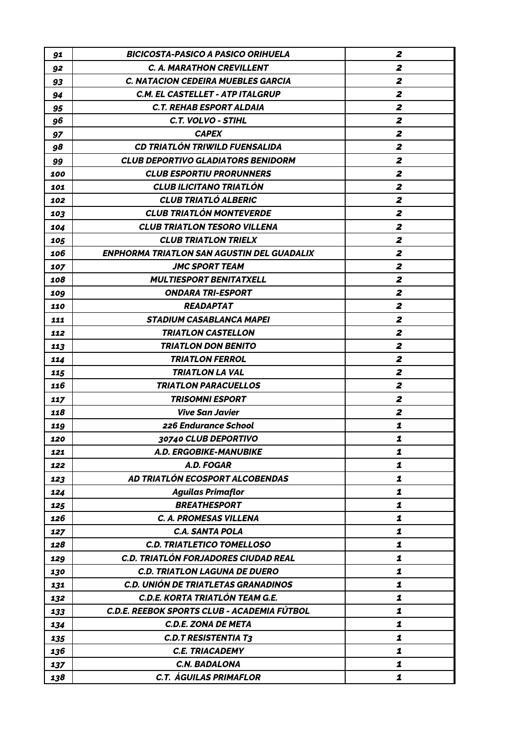| 91  | BICICOSTA-PASICO A PASICO ORIHUELA          | 2                |
|-----|---------------------------------------------|------------------|
| 92  | <b>C. A. MARATHON CREVILLENT</b>            | 2                |
| 93  | <b>C. NATACION CEDEIRA MUEBLES GARCIA</b>   | 2                |
| 94  | C.M. EL CASTELLET - ATP ITALGRUP            | 2                |
| 95  | <b>C.T. REHAB ESPORT ALDAIA</b>             | $\boldsymbol{z}$ |
| 96  | C.T. VOLVO - STIHL                          | $\mathbf{z}$     |
| 97  | <b>CAPEX</b>                                | $\mathbf{z}$     |
| 98  | <b>CD TRIATLÓN TRIWILD FUENSALIDA</b>       | 2                |
| 99  | <b>CLUB DEPORTIVO GLADIATORS BENIDORM</b>   | $\boldsymbol{z}$ |
| 100 | <b>CLUB ESPORTIU PRORUNNERS</b>             | $\boldsymbol{z}$ |
| 101 | <b>CLUB ILICITANO TRIATLÓN</b>              | $\boldsymbol{z}$ |
| 102 | <b>CLUB TRIATLO ALBERIC</b>                 | $\boldsymbol{z}$ |
| 103 | <b>CLUB TRIATLÓN MONTEVERDE</b>             | $\mathbf{z}$     |
| 104 | CLUB TRIATLON TESORO VILLENA                | $\boldsymbol{z}$ |
| 105 | <b>CLUB TRIATLON TRIELX</b>                 | $\mathbf{z}$     |
| 106 | ENPHORMA TRIATLON SAN AGUSTIN DEL GUADALIX  | 2                |
| 107 | JMC SPORT TEAM                              | $\boldsymbol{z}$ |
| 108 | <b>MULTIESPORT BENITATXELL</b>              | $\mathbf{z}$     |
| 109 | <b>ONDARA TRI-ESPORT</b>                    | $\mathbf{z}$     |
| 110 | <b>READAPTAT</b>                            | $\boldsymbol{z}$ |
| 111 | <b>STADIUM CASABLANCA MAPEI</b>             | $\boldsymbol{z}$ |
| 112 | <b>TRIATLON CASTELLON</b>                   | $\boldsymbol{z}$ |
| 113 | <b>TRIATLON DON BENITO</b>                  | 2                |
| 114 | <b>TRIATLON FERROL</b>                      | 2                |
| 115 | <b>TRIATLON LA VAL</b>                      | $\boldsymbol{z}$ |
| 116 | <b>TRIATLON PARACUELLOS</b>                 | 2                |
| 117 | <b>TRISOMNI ESPORT</b>                      | 2                |
| 118 | <b>Vive San Javier</b>                      | 2                |
| 119 | 226 Endurance School                        | 1                |
| 120 | 30740 CLUB DEPORTIVO                        | 1                |
| 121 | A.D. ERGOBIKE-MANUBIKE                      | 1                |
| 122 | A.D. FOGAR                                  | 1                |
| 123 | AD TRIATLÓN ECOSPORT ALCOBENDAS             | 1                |
| 124 | <b>Aguilas Primaflor</b>                    | 1                |
| 125 | <b>BREATHESPORT</b>                         | 1                |
| 126 | <b>C. A. PROMESAS VILLENA</b>               | 1                |
| 127 | <b>C.A. SANTA POLA</b>                      | 1                |
| 128 | <b>C.D. TRIATLETICO TOMELLOSO</b>           | 1                |
| 129 | C.D. TRIATLÓN FORJADORES CIUDAD REAL        | 1                |
| 130 | <b>C.D. TRIATLON LAGUNA DE DUERO</b>        | 1                |
| 131 | C.D. UNIÓN DE TRIATLETAS GRANADINOS         | 1                |
| 132 | C.D.E. KORTA TRIATLÓN TEAM G.E.             | 1                |
| 133 | C.D.E. REEBOK SPORTS CLUB - ACADEMIA FÚTBOL | 1                |
| 134 | <b>C.D.E. ZONA DE META</b>                  | 1                |
| 135 | <b>C.D.T RESISTENTIA T3</b>                 | 1                |
| 136 | <b>C.E. TRIACADEMY</b>                      | 1                |
| 137 | <b>C.N. BADALONA</b>                        | 1                |
| 138 | <b>C.T. ÁGUILAS PRIMAFLOR</b>               | 1                |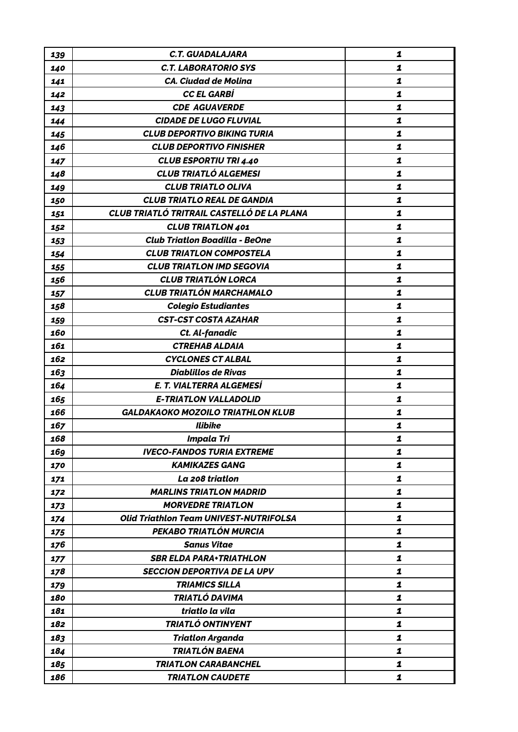| 139 | <b>C.T. GUADALAJARA</b>                       | 1 |
|-----|-----------------------------------------------|---|
| 140 | <b>C.T. LABORATORIO SYS</b>                   | 1 |
| 141 | <b>CA. Ciudad de Molina</b>                   | 1 |
| 142 | <b>CC EL GARBÍ</b>                            | 1 |
| 143 | <b>CDE AGUAVERDE</b>                          | 1 |
| 144 | <b>CIDADE DE LUGO FLUVIAL</b>                 | 1 |
| 145 | <b>CLUB DEPORTIVO BIKING TURIA</b>            | 1 |
| 146 | <b>CLUB DEPORTIVO FINISHER</b>                | 1 |
| 147 | <b>CLUB ESPORTIU TRI 4.40</b>                 | 1 |
| 148 | <b>CLUB TRIATLÓ ALGEMESI</b>                  | 1 |
| 149 | <b>CLUB TRIATLO OLIVA</b>                     | 1 |
| 150 | <b>CLUB TRIATLO REAL DE GANDIA</b>            | 1 |
| 151 | CLUB TRIATLÓ TRITRAIL CASTELLÓ DE LA PLANA    | 1 |
| 152 | <b>CLUB TRIATLON 401</b>                      | 1 |
| 153 | <b>Club Triatlon Boadilla - BeOne</b>         | 1 |
| 154 | <b>CLUB TRIATLON COMPOSTELA</b>               | 1 |
| 155 | <b>CLUB TRIATLON IMD SEGOVIA</b>              | 1 |
| 156 | <b>CLUB TRIATLÓN LORCA</b>                    | 1 |
| 157 | <b>CLUB TRIATLÓN MARCHAMALO</b>               | 1 |
| 158 | <b>Colegio Estudiantes</b>                    | 1 |
| 159 | <b>CST-CST COSTA AZAHAR</b>                   | 1 |
| 160 | Ct. Al-fanadic                                | 1 |
| 161 | <b>CTREHAB ALDAIA</b>                         | 1 |
| 162 | <b>CYCLONES CT ALBAL</b>                      | 1 |
| 163 | <b>Diablillos de Rivas</b>                    | 1 |
| 164 | E. T. VIALTERRA ALGEMESÍ                      | 1 |
| 165 | <b>E-TRIATLON VALLADOLID</b>                  | 1 |
| 166 | <b>GALDAKAOKO MOZOILO TRIATHLON KLUB</b>      | 1 |
| 167 | <b>Ilibike</b>                                | 1 |
| 168 | <b>Impala Tri</b>                             | ı |
| 169 | <b>IVECO-FANDOS TURIA EXTREME</b>             | 1 |
| 170 | <b>KAMIKAZES GANG</b>                         | 1 |
| 171 | La 208 triatlon                               | 1 |
| 172 | <b>MARLINS TRIATLON MADRID</b>                | 1 |
| 173 | <b>MORVEDRE TRIATLON</b>                      | 1 |
| 174 | <b>Olid Triathlon Team UNIVEST-NUTRIFOLSA</b> | 1 |
| 175 | PEKABO TRIATLÓN MURCIA                        | 1 |
| 176 | <b>Sanus Vitae</b>                            | 1 |
| 177 | <b>SBR ELDA PARA+TRIATHLON</b>                | 1 |
| 178 | <b>SECCION DEPORTIVA DE LA UPV</b>            | 1 |
| 179 | <b>TRIAMICS SILLA</b>                         | 1 |
| 180 | TRIATLÓ DAVIMA                                | 1 |
| 181 | triatlo la vila                               | 1 |
| 182 | TRIATLÓ ONTINYENT                             | 1 |
| 183 | <b>Triatlon Arganda</b>                       | 1 |
| 184 | <b>TRIATLÓN BAENA</b>                         | 1 |
| 185 | <b>TRIATLON CARABANCHEL</b>                   | 1 |
| 186 | <b>TRIATLON CAUDETE</b>                       | 1 |